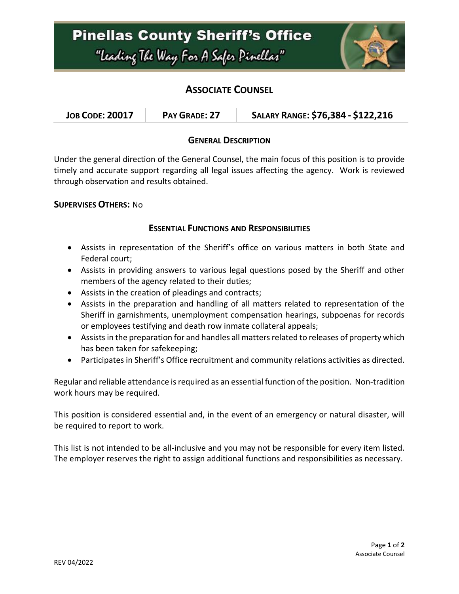

# **ASSOCIATE COUNSEL**

|--|

### **GENERAL DESCRIPTION**

Under the general direction of the General Counsel, the main focus of this position is to provide timely and accurate support regarding all legal issues affecting the agency. Work is reviewed through observation and results obtained.

### **SUPERVISES OTHERS:** No

### **ESSENTIAL FUNCTIONS AND RESPONSIBILITIES**

- Assists in representation of the Sheriff's office on various matters in both State and Federal court;
- Assists in providing answers to various legal questions posed by the Sheriff and other members of the agency related to their duties;
- Assists in the creation of pleadings and contracts;
- Assists in the preparation and handling of all matters related to representation of the Sheriff in garnishments, unemployment compensation hearings, subpoenas for records or employees testifying and death row inmate collateral appeals;
- Assists in the preparation for and handles all matters related to releases of property which has been taken for safekeeping;
- Participates in Sheriff's Office recruitment and community relations activities as directed.

Regular and reliable attendance is required as an essential function of the position. Non-tradition work hours may be required.

This position is considered essential and, in the event of an emergency or natural disaster, will be required to report to work.

This list is not intended to be all-inclusive and you may not be responsible for every item listed. The employer reserves the right to assign additional functions and responsibilities as necessary.